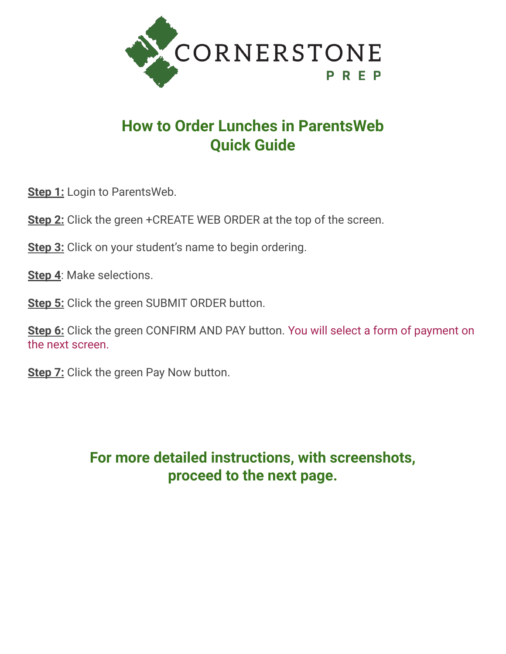

# **How to Order Lunches in ParentsWeb Quick Guide**

**Step 1:** Login to ParentsWeb.

**Step 2:** Click the green +CREATE WEB ORDER at the top of the screen.

**Step 3:** Click on your student's name to begin ordering.

**Step 4**: Make selections.

**Step 5:** Click the green SUBMIT ORDER button.

**Step 6:** Click the green CONFIRM AND PAY button. You will select a form of payment on the next screen.

**Step 7:** Click the green Pay Now button.

#### **For more detailed instructions, with screenshots, proceed to the next page.**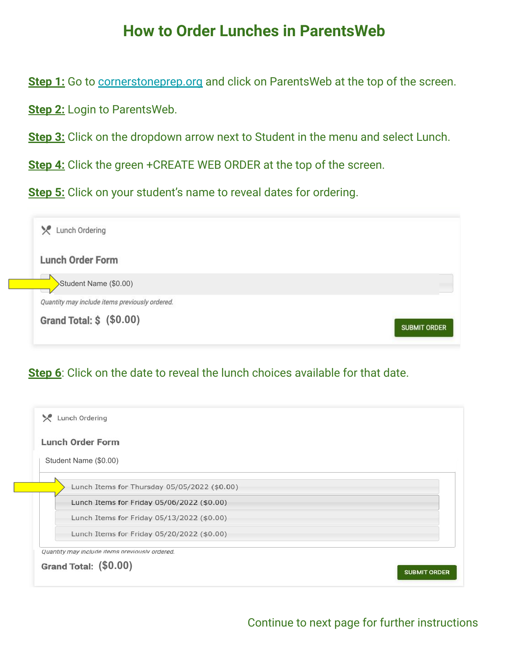**Step 1:** Go to [cornerstoneprep.org](https://www.cornerstoneprep.org/) and click on ParentsWeb at the top of the screen.

**Step 2:** Login to ParentsWeb.

**Step 3:** Click on the dropdown arrow next to Student in the menu and select Lunch.

**Step 4:** Click the green +CREATE WEB ORDER at the top of the screen.

**Step 5:** Click on your student's name to reveal dates for ordering.

| Lunch Ordering                                 |                     |
|------------------------------------------------|---------------------|
| <b>Lunch Order Form</b>                        |                     |
| Student Name (\$0.00)                          |                     |
| Quantity may include items previously ordered. |                     |
| Grand Total: \$ (\$0.00)                       | <b>SUBMIT ORDER</b> |

#### **Step 6**: Click on the date to reveal the lunch choices available for that date.

| <b>Lunch Order Form</b>                      |  |
|----------------------------------------------|--|
| Student Name (\$0.00)                        |  |
| Lunch Items for Thursday 05/05/2022 (\$0.00) |  |
| Lunch Items for Friday 05/06/2022 (\$0.00)   |  |
| Lunch Items for Friday 05/13/2022 (\$0.00)   |  |
| Lunch Items for Friday 05/20/2022 (\$0.00)   |  |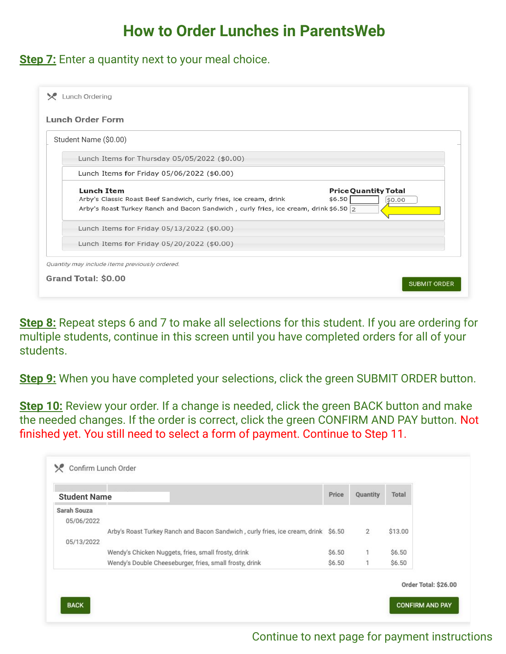**Step 7:** Enter a quantity next to your meal choice.

| <b>Lunch Order Form</b> |                                                                                                                                                                                                                                   |
|-------------------------|-----------------------------------------------------------------------------------------------------------------------------------------------------------------------------------------------------------------------------------|
| Student Name (\$0.00)   |                                                                                                                                                                                                                                   |
|                         | Lunch Items for Thursday 05/05/2022 (\$0.00)                                                                                                                                                                                      |
|                         | Lunch Items for Friday 05/06/2022 (\$0.00)                                                                                                                                                                                        |
|                         | <b>Lunch Item</b><br><b>Price Quantity Total</b><br>Arby's Classic Roast Beef Sandwich, curly fries, ice cream, drink<br>\$6.50<br>\$0.00<br>Arby's Roast Turkey Ranch and Bacon Sandwich, curly fries, ice cream, drink \$6.50 2 |
|                         | Lunch Items for Friday 05/13/2022 (\$0.00)                                                                                                                                                                                        |
|                         | Lunch Items for Friday 05/20/2022 (\$0.00)                                                                                                                                                                                        |
|                         | Quantity may include items previously ordered.                                                                                                                                                                                    |
| Grand Total: \$0.00     |                                                                                                                                                                                                                                   |

**Step 8:** Repeat steps 6 and 7 to make all selections for this student. If you are ordering for multiple students, continue in this screen until you have completed orders for all of your students.

**Step 9:** When you have completed your selections, click the green SUBMIT ORDER button.

**Step 10:** Review your order. If a change is needed, click the green BACK button and make the needed changes. If the order is correct, click the green CONFIRM AND PAY button. Not finished yet. You still need to select a form of payment. Continue to Step 11.

| <b>Student Name</b> |                                                                                    | Price  | Quantity | Total   |  |
|---------------------|------------------------------------------------------------------------------------|--------|----------|---------|--|
| Sarah Souza         |                                                                                    |        |          |         |  |
| 05/06/2022          |                                                                                    |        |          |         |  |
|                     | Arby's Roast Turkey Ranch and Bacon Sandwich, curly fries, ice cream, drink \$6.50 |        | 2        | \$13.00 |  |
| 05/13/2022          |                                                                                    |        |          |         |  |
|                     | Wendy's Chicken Nuggets, fries, small frosty, drink                                | \$6.50 | 1        | \$6.50  |  |
|                     | Wendy's Double Cheeseburger, fries, small frosty, drink                            | \$6.50 | 1        | \$6.50  |  |

#### Continue to next page for payment instructions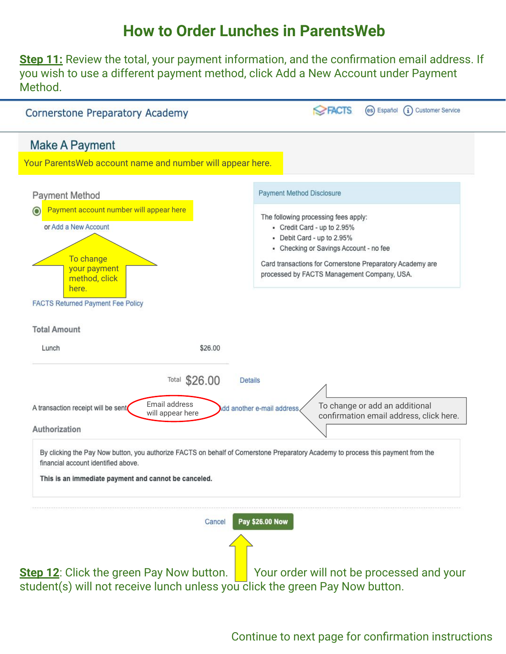**Step 11:** Review the total, your payment information, and the confirmation email address. If you wish to use a different payment method, click Add a New Account under Payment Method.



Continue to next page for confirmation instructions